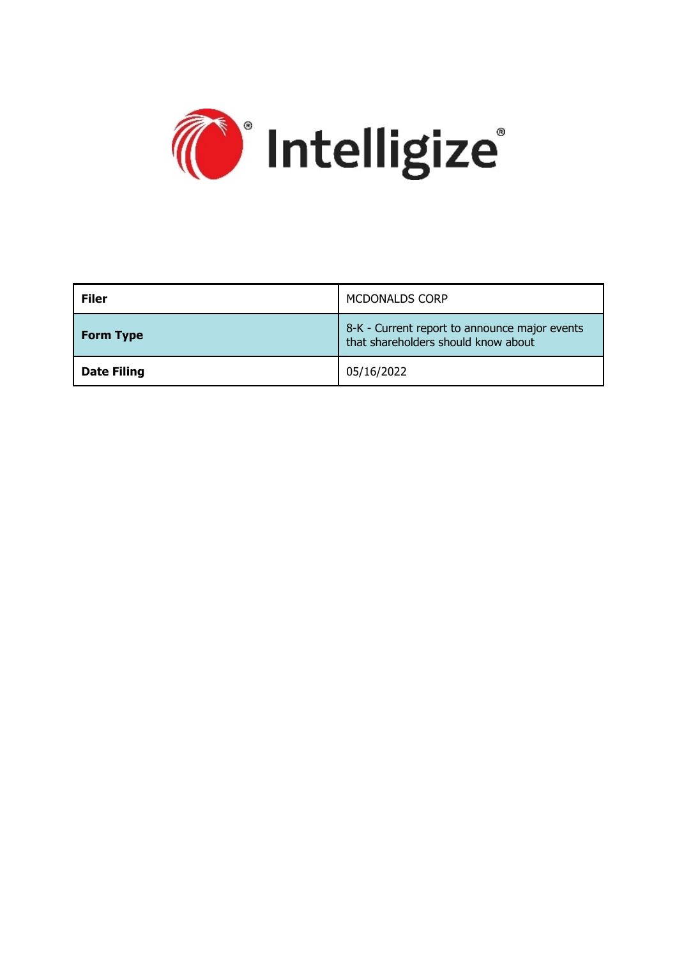

| <b>Filer</b>       | <b>MCDONALDS CORP</b>                                                                |  |
|--------------------|--------------------------------------------------------------------------------------|--|
| <b>Form Type</b>   | 8-K - Current report to announce major events<br>that shareholders should know about |  |
| <b>Date Filing</b> | 05/16/2022                                                                           |  |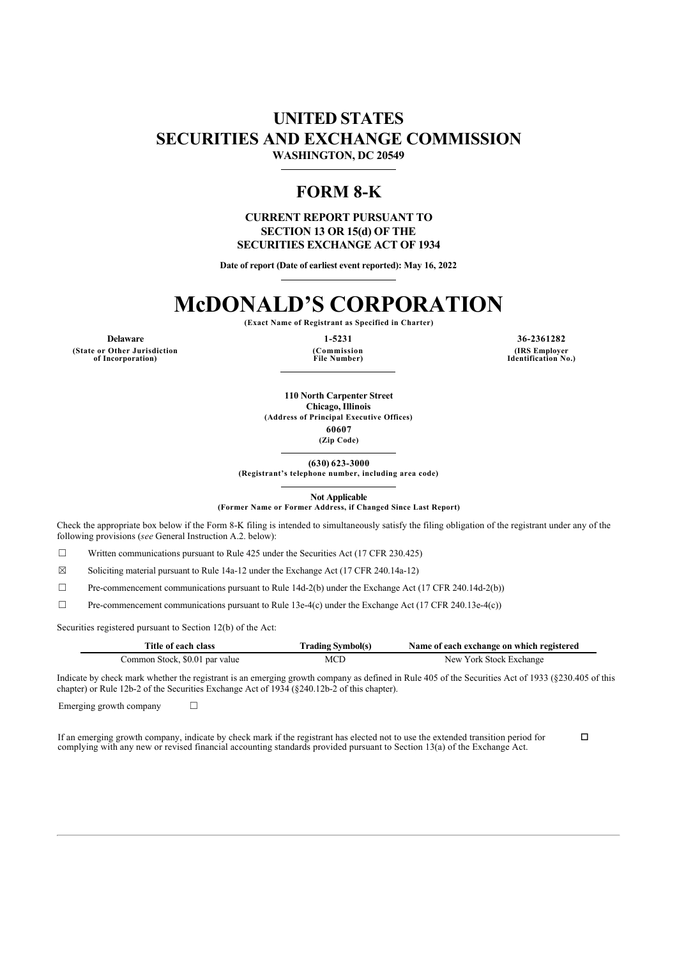### **UNITED STATES SECURITIES AND EXCHANGE COMMISSION WASHINGTON, DC 20549**

## **FORM 8-K**

**CURRENT REPORT PURSUANT TO SECTION 13 OR 15(d) OF THE SECURITIES EXCHANGE ACT OF 1934**

**Date of report (Date of earliest event reported): May 16, 2022**

# **McDONALD'S CORPORATION**

**(Exact Name of Registrant as Specified in Charter)**

**(State or Other Jurisdiction of Incorporation)**

**(Commission File Number)**

**Delaware 1-5231 36-2361282 (IRS Employer Identification No.)**

> **110 North Carpenter Street Chicago, Illinois (Address of Principal Executive Offices) 60607**

> > **(Zip Code)**

**(630) 623-3000 (Registrant's telephone number, including area code)**

**Not Applicable**

**(Former Name or Former Address, if Changed Since Last Report)**

Check the appropriate box below if the Form 8-K filing is intended to simultaneously satisfy the filing obligation of the registrant under any of the following provisions (*see* General Instruction A.2. below):

☐ Written communications pursuant to Rule 425 under the Securities Act (17 CFR 230.425)

 $\boxtimes$  Soliciting material pursuant to Rule 14a-12 under the Exchange Act (17 CFR 240.14a-12)

 $\Box$  Pre-commencement communications pursuant to Rule 14d-2(b) under the Exchange Act (17 CFR 240.14d-2(b))

 $\Box$  Pre-commencement communications pursuant to Rule 13e-4(c) under the Exchange Act (17 CFR 240.13e-4(c))

Securities registered pursuant to Section 12(b) of the Act:

| Title of each class            | <b>Trading Symbol(s)</b> | Name of each exchange on which registered |
|--------------------------------|--------------------------|-------------------------------------------|
| Common Stock, \$0.01 par value | MCD                      | New York Stock Exchange                   |

Indicate by check mark whether the registrant is an emerging growth company as defined in Rule 405 of the Securities Act of 1933 (§230.405 of this chapter) or Rule 12b-2 of the Securities Exchange Act of 1934 (§240.12b-2 of this chapter).

Emerging growth company  $\Box$ 

If an emerging growth company, indicate by check mark if the registrant has elected not to use the extended transition period for complying with any new or revised financial accounting standards provided pursuant to Section 13(a) of the Exchange Act.  $\Box$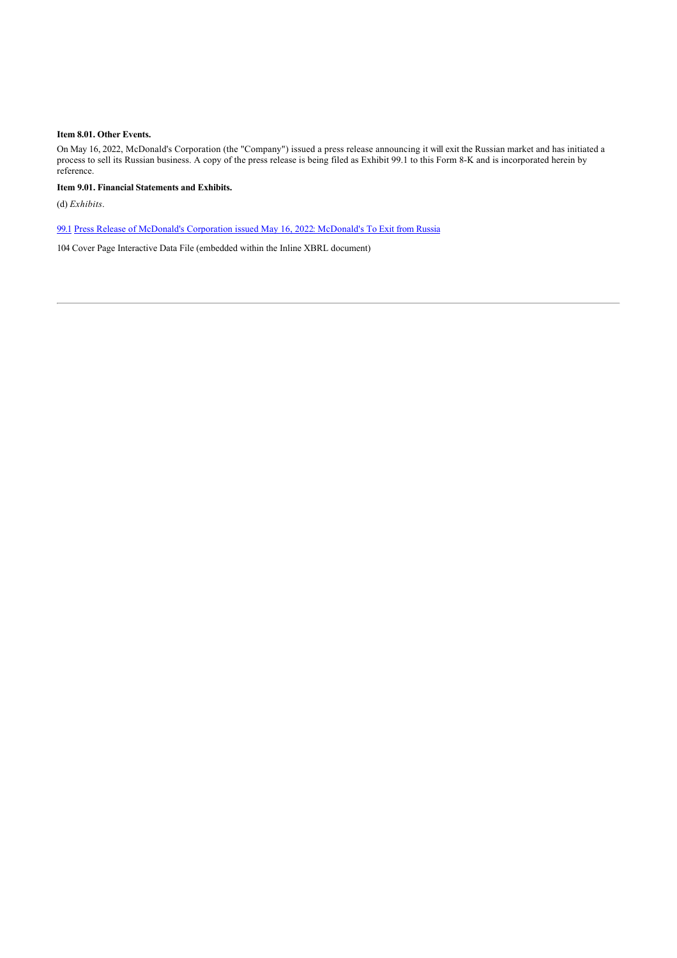#### **Item 8.01. Other Events.**

On May 16, 2022, McDonald's Corporation (the "Company") issued a press release announcing it will exit the Russian market and has initiated a process to sell its Russian business. A copy of the press release is being filed as Exhibit 99.1 to this Form 8-K and is incorporated herein by reference.

**Item 9.01. Financial Statements and Exhibits.**

(d) *Exhibits*.

[99.1](http://www.sec.gov/Archives/edgar/data/63908/000006390822000020/exhibit991-05162022.htm) [Press Release of McDonald's Corporation issued May 16, 2022:](http://www.sec.gov/Archives/edgar/data/63908/000006390822000020/exhibit991-05162022.htm) [McDonald's To Exit from Russia](http://www.sec.gov/Archives/edgar/data/63908/000006390822000020/exhibit991-05162022.htm)

104 Cover Page Interactive Data File (embedded within the Inline XBRL document)